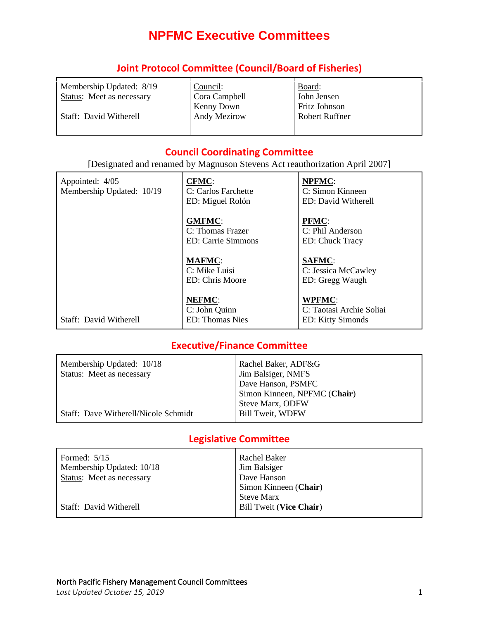# **NPFMC Executive Committees**

| Membership Updated: 8/19<br>Status: Meet as necessary | Council:<br>Cora Campbell<br>Kenny Down | Board:<br>John Jensen<br>Fritz Johnson |
|-------------------------------------------------------|-----------------------------------------|----------------------------------------|
| Staff: David Witherell                                | <b>Andy Mezirow</b>                     | <b>Robert Ruffner</b>                  |

### **Joint Protocol Committee (Council/Board of Fisheries)**

#### **Council Coordinating Committee**

[Designated and renamed by Magnuson Stevens Act reauthorization April 2007]

| Appointed: 4/05<br>Membership Updated: 10/19 | <b>CFMC:</b><br>C: Carlos Farchette<br>ED: Miguel Rolón   | <b>NPFMC:</b><br>C: Simon Kinneen<br>ED: David Witherell       |
|----------------------------------------------|-----------------------------------------------------------|----------------------------------------------------------------|
|                                              | <b>GMFMC:</b><br>C: Thomas Frazer<br>ED: Carrie Simmons   | <b>PFMC:</b><br>C: Phil Anderson<br>ED: Chuck Tracy            |
|                                              | <b>MAFMC:</b><br>C: Mike Luisi<br>ED: Chris Moore         | <b>SAFMC:</b><br>C: Jessica McCawley<br>ED: Gregg Waugh        |
| Staff: David Witherell                       | <b>NEFMC:</b><br>C: John Quinn<br><b>ED</b> : Thomas Nies | <b>WPFMC:</b><br>C: Taotasi Archie Soliai<br>ED: Kitty Simonds |

## **Executive/Finance Committee**

| Rachel Baker, ADF&G          |
|------------------------------|
| Jim Balsiger, NMFS           |
| Dave Hanson, PSMFC           |
| Simon Kinneen, NPFMC (Chair) |
| <b>Steve Marx, ODFW</b>      |
| <b>Bill Tweit, WDFW</b>      |
|                              |

#### **Legislative Committee**

| Formed: $5/15$            | Rachel Baker                   |
|---------------------------|--------------------------------|
| Membership Updated: 10/18 | Jim Balsiger                   |
| Status: Meet as necessary | Dave Hanson                    |
|                           | Simon Kinneen (Chair)          |
|                           | <b>Steve Marx</b>              |
| Staff: David Witherell    | <b>Bill Tweit (Vice Chair)</b> |
|                           |                                |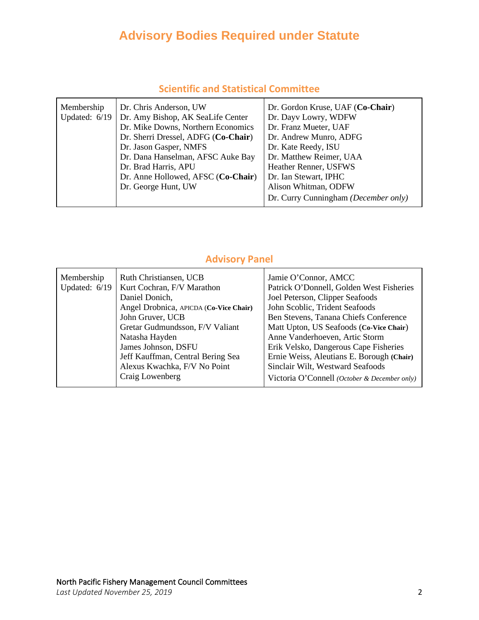# **Advisory Bodies Required under Statute**

| Membership<br>Updated: $6/19$ | Dr. Chris Anderson, UW<br>Dr. Amy Bishop, AK SeaLife Center<br>Dr. Mike Downs, Northern Economics<br>Dr. Sherri Dressel, ADFG (Co-Chair)<br>Dr. Jason Gasper, NMFS<br>Dr. Dana Hanselman, AFSC Auke Bay<br>Dr. Brad Harris, APU | Dr. Gordon Kruse, UAF (Co-Chair)<br>Dr. Dayv Lowry, WDFW<br>Dr. Franz Mueter, UAF<br>Dr. Andrew Munro, ADFG<br>Dr. Kate Reedy, ISU<br>Dr. Matthew Reimer, UAA<br>Heather Renner, USFWS |
|-------------------------------|---------------------------------------------------------------------------------------------------------------------------------------------------------------------------------------------------------------------------------|----------------------------------------------------------------------------------------------------------------------------------------------------------------------------------------|
|                               | Dr. Anne Hollowed, AFSC (Co-Chair)<br>Dr. George Hunt, UW                                                                                                                                                                       | Dr. Ian Stewart, IPHC<br>Alison Whitman, ODFW                                                                                                                                          |
|                               |                                                                                                                                                                                                                                 | Dr. Curry Cunningham (December only)                                                                                                                                                   |

## **Scientific and Statistical Committee**

# **Advisory Panel**

| Membership<br>Updated: $6/19$ | Ruth Christiansen, UCB<br>Kurt Cochran, F/V Marathon<br>Daniel Donich,<br>Angel Drobnica, APICDA (Co-Vice Chair)<br>John Gruver, UCB<br>Gretar Gudmundsson, F/V Valiant<br>Natasha Hayden<br>James Johnson, DSFU<br>Jeff Kauffman, Central Bering Sea<br>Alexus Kwachka, F/V No Point<br>Craig Lowenberg | Jamie O'Connor, AMCC<br>Patrick O'Donnell, Golden West Fisheries<br>Joel Peterson, Clipper Seafoods<br>John Scoblic, Trident Seafoods<br>Ben Stevens, Tanana Chiefs Conference<br>Matt Upton, US Seafoods (Co-Vice Chair)<br>Anne Vanderhoeven, Artic Storm<br>Erik Velsko, Dangerous Cape Fisheries<br>Ernie Weiss, Aleutians E. Borough (Chair)<br>Sinclair Wilt, Westward Seafoods<br>Victoria O'Connell (October & December only) |
|-------------------------------|----------------------------------------------------------------------------------------------------------------------------------------------------------------------------------------------------------------------------------------------------------------------------------------------------------|---------------------------------------------------------------------------------------------------------------------------------------------------------------------------------------------------------------------------------------------------------------------------------------------------------------------------------------------------------------------------------------------------------------------------------------|
|                               |                                                                                                                                                                                                                                                                                                          |                                                                                                                                                                                                                                                                                                                                                                                                                                       |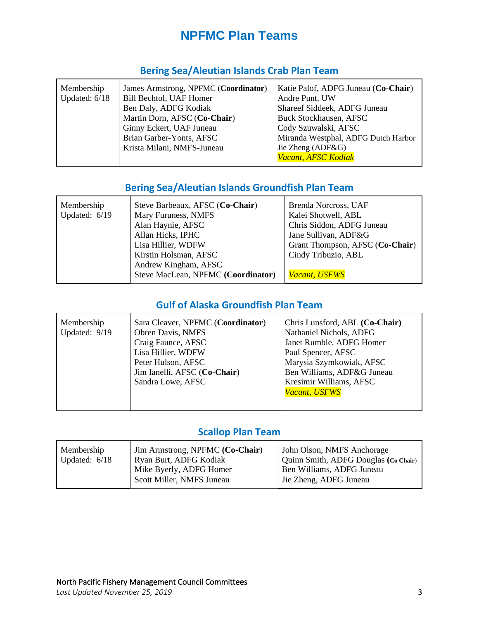# **NPFMC Plan Teams**

| Membership<br>Updated: 6/18<br>Bill Bechtol, UAF Homer<br>Ben Daly, ADFG Kodiak<br>Ginny Eckert, UAF Juneau<br>Brian Garber-Yonts, AFSC<br>Krista Milani, NMFS-Juneau | James Armstrong, NPFMC (Coordinator)<br>Martin Dorn, AFSC (Co-Chair) | Katie Palof, ADFG Juneau (Co-Chair)<br>Andre Punt, UW<br>Shareef Siddeek, ADFG Juneau<br><b>Buck Stockhausen, AFSC</b><br>Cody Szuwalski, AFSC<br>Miranda Westphal, ADFG Dutch Harbor<br>Jie Zheng (ADF&G)<br>Vacant, AFSC Kodiak |
|-----------------------------------------------------------------------------------------------------------------------------------------------------------------------|----------------------------------------------------------------------|-----------------------------------------------------------------------------------------------------------------------------------------------------------------------------------------------------------------------------------|
|-----------------------------------------------------------------------------------------------------------------------------------------------------------------------|----------------------------------------------------------------------|-----------------------------------------------------------------------------------------------------------------------------------------------------------------------------------------------------------------------------------|

# **Bering Sea/Aleutian Islands Crab Plan Team**

# **Bering Sea/Aleutian Islands Groundfish Plan Team**

| Membership    | Steve Barbeaux, AFSC (Co-Chair)    | Brenda Norcross, UAF            |
|---------------|------------------------------------|---------------------------------|
| Updated: 6/19 | Mary Furuness, NMFS                | Kalei Shotwell, ABL             |
|               | Alan Haynie, AFSC                  | Chris Siddon, ADFG Juneau       |
|               | Allan Hicks, IPHC                  | Jane Sullivan, ADF&G            |
|               | Lisa Hillier, WDFW                 | Grant Thompson, AFSC (Co-Chair) |
|               | Kirstin Holsman, AFSC              | Cindy Tribuzio, ABL             |
|               | Andrew Kingham, AFSC               |                                 |
|               | Steve MacLean, NPFMC (Coordinator) | <b>Vacant, USFWS</b>            |

# **Gulf of Alaska Groundfish Plan Team**

| Membership<br>Updated: 9/19 | Sara Cleaver, NPFMC (Coordinator)<br>Obren Davis, NMFS<br>Craig Faunce, AFSC<br>Lisa Hillier, WDFW<br>Peter Hulson, AFSC<br>Jim Ianelli, AFSC (Co-Chair)<br>Sandra Lowe, AFSC | Chris Lunsford, ABL (Co-Chair)<br>Nathaniel Nichols, ADFG<br>Janet Rumble, ADFG Homer<br>Paul Spencer, AFSC<br>Marysia Szymkowiak, AFSC<br>Ben Williams, ADF&G Juneau<br>Kresimir Williams, AFSC<br>Vacant, USFWS |
|-----------------------------|-------------------------------------------------------------------------------------------------------------------------------------------------------------------------------|-------------------------------------------------------------------------------------------------------------------------------------------------------------------------------------------------------------------|
|-----------------------------|-------------------------------------------------------------------------------------------------------------------------------------------------------------------------------|-------------------------------------------------------------------------------------------------------------------------------------------------------------------------------------------------------------------|

# **Scallop Plan Team**

| Scott Miller, NMFS Juneau<br>Jie Zheng, ADFG Juneau | Membership<br>Updated: $6/18$ | Jim Armstrong, NPFMC (Co-Chair)<br>Ryan Burt, ADFG Kodiak<br>Mike Byerly, ADFG Homer | John Olson, NMFS Anchorage<br>Quinn Smith, ADFG Douglas (Co Chair)<br>Ben Williams, ADFG Juneau |
|-----------------------------------------------------|-------------------------------|--------------------------------------------------------------------------------------|-------------------------------------------------------------------------------------------------|
|-----------------------------------------------------|-------------------------------|--------------------------------------------------------------------------------------|-------------------------------------------------------------------------------------------------|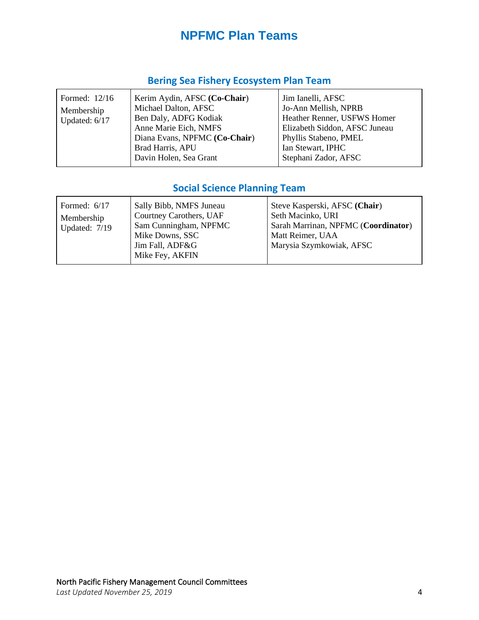# **NPFMC Plan Teams**

# **Bering Sea Fishery Ecosystem Plan Team**

| Formed: 12/16<br>Membership<br>Updated: 6/17 | Kerim Aydin, AFSC (Co-Chair)<br>Michael Dalton, AFSC<br>Ben Daly, ADFG Kodiak<br>Anne Marie Eich, NMFS<br>Diana Evans, NPFMC (Co-Chair)<br>Brad Harris, APU<br>Davin Holen, Sea Grant | Jim Ianelli, AFSC<br>Jo-Ann Mellish, NPRB<br>Heather Renner, USFWS Homer<br>Elizabeth Siddon, AFSC Juneau<br>Phyllis Stabeno, PMEL<br>Ian Stewart, IPHC<br>Stephani Zador, AFSC |
|----------------------------------------------|---------------------------------------------------------------------------------------------------------------------------------------------------------------------------------------|---------------------------------------------------------------------------------------------------------------------------------------------------------------------------------|
|----------------------------------------------|---------------------------------------------------------------------------------------------------------------------------------------------------------------------------------------|---------------------------------------------------------------------------------------------------------------------------------------------------------------------------------|

# **Social Science Planning Team**

| Formed: $6/17$<br>Membership<br>Updated: 7/19 | Sally Bibb, NMFS Juneau<br>Courtney Carothers, UAF<br>Sam Cunningham, NPFMC<br>Mike Downs, SSC<br>Jim Fall, ADF&G<br>Mike Fey, AKFIN | Steve Kasperski, AFSC (Chair)<br>Seth Macinko, URI<br>Sarah Marrinan, NPFMC (Coordinator)<br>Matt Reimer, UAA<br>Marysia Szymkowiak, AFSC |
|-----------------------------------------------|--------------------------------------------------------------------------------------------------------------------------------------|-------------------------------------------------------------------------------------------------------------------------------------------|
|-----------------------------------------------|--------------------------------------------------------------------------------------------------------------------------------------|-------------------------------------------------------------------------------------------------------------------------------------------|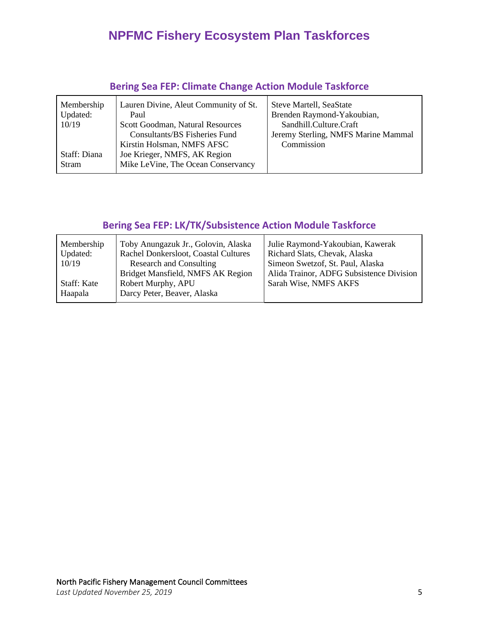# **NPFMC Fishery Ecosystem Plan Taskforces**

| Membership<br>Updated:<br>10/19 | Lauren Divine, Aleut Community of St.<br>Paul<br>Scott Goodman, Natural Resources<br>Consultants/BS Fisheries Fund | <b>Steve Martell, SeaState</b><br>Brenden Raymond-Yakoubian,<br>Sandhill.Culture.Craft<br>Jeremy Sterling, NMFS Marine Mammal |
|---------------------------------|--------------------------------------------------------------------------------------------------------------------|-------------------------------------------------------------------------------------------------------------------------------|
| Staff: Diana<br><b>Stram</b>    | Kirstin Holsman, NMFS AFSC<br>Joe Krieger, NMFS, AK Region<br>Mike LeVine, The Ocean Conservancy                   | Commission                                                                                                                    |

# **Bering Sea FEP: Climate Change Action Module Taskforce**

# **Bering Sea FEP: LK/TK/Subsistence Action Module Taskforce**

| Membership<br>Updated:<br>10/19 | Toby Anungazuk Jr., Golovin, Alaska<br>Rachel Donkersloot, Coastal Cultures<br><b>Research and Consulting</b> | Julie Raymond-Yakoubian, Kawerak<br>Richard Slats, Chevak, Alaska<br>Simeon Swetzof, St. Paul, Alaska |
|---------------------------------|---------------------------------------------------------------------------------------------------------------|-------------------------------------------------------------------------------------------------------|
| Staff: Kate                     | Bridget Mansfield, NMFS AK Region<br>Robert Murphy, APU                                                       | Alida Trainor, ADFG Subsistence Division<br>Sarah Wise, NMFS AKFS                                     |
| Haapala                         | Darcy Peter, Beaver, Alaska                                                                                   |                                                                                                       |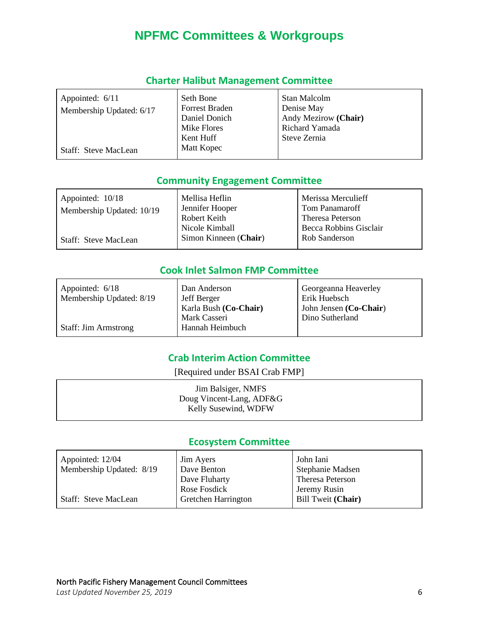# **NPFMC Committees & Workgroups**

| Appointed: 6/11<br>Membership Updated: 6/17 | Seth Bone<br>Forrest Braden<br>Daniel Donich<br>Mike Flores<br>Kent Huff | Stan Malcolm<br>Denise May<br>Andy Mezirow (Chair)<br>Richard Yamada<br>Steve Zernia |
|---------------------------------------------|--------------------------------------------------------------------------|--------------------------------------------------------------------------------------|
| Staff: Steve MacLean                        | Matt Kopec                                                               |                                                                                      |

#### **Charter Halibut Management Committee**

#### **Community Engagement Committee**

| Appointed: 10/18            | Mellisa Heflin        | Merissa Merculieff     |
|-----------------------------|-----------------------|------------------------|
| Membership Updated: 10/19   | Jennifer Hooper       | Tom Panamaroff         |
|                             | Robert Keith          | Theresa Peterson       |
|                             | Nicole Kimball        | Becca Robbins Gisclair |
| <b>Staff: Steve MacLean</b> | Simon Kinneen (Chair) | Rob Sanderson          |

## **Cook Inlet Salmon FMP Committee**

| Appointed: 6/18             | Dan Anderson          | Georgeanna Heaverley   |
|-----------------------------|-----------------------|------------------------|
| Membership Updated: 8/19    | Jeff Berger           | Erik Huebsch           |
|                             | Karla Bush (Co-Chair) | John Jensen (Co-Chair) |
|                             | Mark Casseri          | Dino Sutherland        |
| <b>Staff: Jim Armstrong</b> | Hannah Heimbuch       |                        |

# **Crab Interim Action Committee**

[Required under BSAI Crab FMP]

| Jim Balsiger, NMFS       |  |
|--------------------------|--|
| Doug Vincent-Lang, ADF&G |  |
| Kelly Susewind, WDFW     |  |
|                          |  |

### **Ecosystem Committee**

| Appointed: 12/04<br>Membership Updated: 8/19 | <b>Jim Ayers</b><br>Dave Benton | John Iani<br>Stephanie Madsen |
|----------------------------------------------|---------------------------------|-------------------------------|
|                                              | Dave Fluharty                   | Theresa Peterson              |
|                                              | Rose Fosdick                    | Jeremy Rusin                  |
| <b>Staff: Steve MacLean</b>                  | Gretchen Harrington             | Bill Tweit (Chair)            |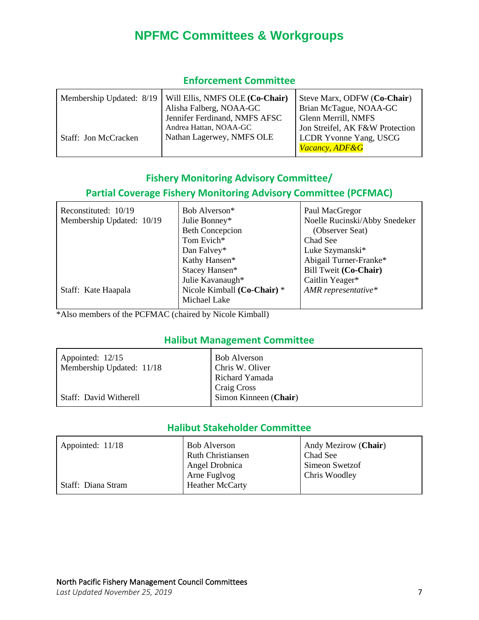# **NPFMC Committees & Workgroups**

| Membership Updated: 8/19 | Will Ellis, NMFS OLE (Co-Chair) | Steve Marx, ODFW (Co-Chair)     |
|--------------------------|---------------------------------|---------------------------------|
|                          | Alisha Falberg, NOAA-GC         | Brian McTague, NOAA-GC          |
|                          | Jennifer Ferdinand, NMFS AFSC   | Glenn Merrill, NMFS             |
|                          | Andrea Hattan, NOAA-GC          | Jon Streifel, AK F&W Protection |
| Staff: Jon McCracken     | Nathan Lagerwey, NMFS OLE       | <b>LCDR Yvonne Yang, USCG</b>   |
|                          |                                 | <b>Vacancy, ADF&amp;G</b>       |

#### **Enforcement Committee**

## **Fishery Monitoring Advisory Committee/**

## **Partial Coverage Fishery Monitoring Advisory Committee (PCFMAC)**

| Reconstituted: 10/19      | Bob Alverson <sup>*</sup>   | Paul MacGregor                |
|---------------------------|-----------------------------|-------------------------------|
| Membership Updated: 10/19 | Julie Bonney*               | Noelle Rucinski/Abby Snedeker |
|                           | <b>Beth Concepcion</b>      | (Observer Seat)               |
|                           | Tom Evich*                  | Chad See                      |
|                           | Dan Falvey*                 | Luke Szymanski*               |
|                           | Kathy Hansen*               | Abigail Turner-Franke*        |
|                           | Stacey Hansen*              | Bill Tweit (Co-Chair)         |
|                           | Julie Kavanaugh*            | Caitlin Yeager*               |
| Staff: Kate Haapala       | Nicole Kimball (Co-Chair) * | AMR representative*           |
|                           | Michael Lake                |                               |

\*Also members of the PCFMAC (chaired by Nicole Kimball)

#### **Halibut Management Committee**

| Appointed: 12/15<br>Membership Updated: 11/18 | <b>Bob Alverson</b><br>Chris W. Oliver |
|-----------------------------------------------|----------------------------------------|
|                                               | Richard Yamada                         |
| <b>Staff: David Witherell</b>                 | Craig Cross<br>Simon Kinneen (Chair)   |
|                                               |                                        |

## **Halibut Stakeholder Committee**

| Appointed: 11/18   | <b>Bob Alverson</b>      | Andy Mezirow (Chair) |
|--------------------|--------------------------|----------------------|
|                    | <b>Ruth Christiansen</b> | Chad See             |
|                    | Angel Drobnica           | Simeon Swetzof       |
|                    | Arne Fuglvog             | Chris Woodley        |
| Staff: Diana Stram | <b>Heather McCarty</b>   |                      |